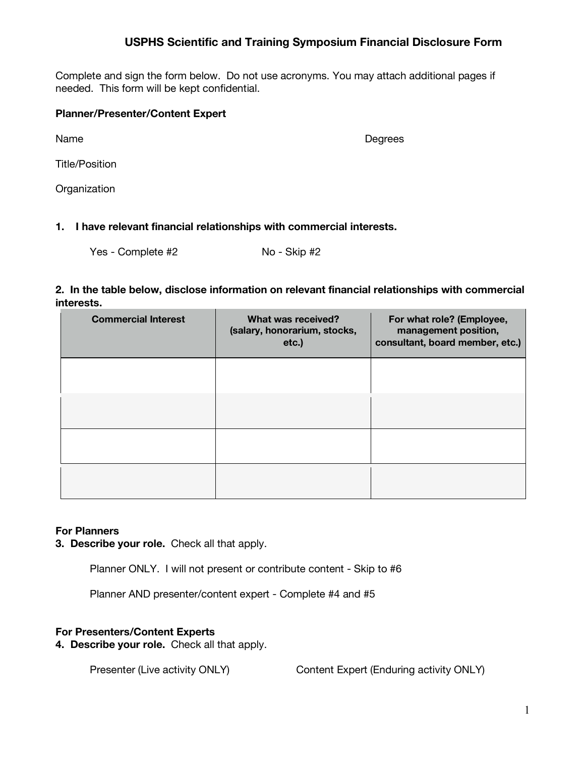## **USPHS Scientific and Training Symposium Financial Disclosure Form**

Complete and sign the form below. Do not use acronyms. You may attach additional pages if needed. This form will be kept confidential.

#### **Planner/Presenter/Content Expert**

Name Degrees

Title/Position

**Organization** 

**1. I have relevant financial relationships with commercial interests.**

Yes - Complete #2  $\vert$   $\vert$  No - Skip #2

#### **2. In the table below, disclose information on relevant financial relationships with commercial interests.**

| <b>Commercial Interest</b> | What was received?<br>(salary, honorarium, stocks,<br>etc.) | For what role? (Employee,<br>management position,<br>consultant, board member, etc.) |
|----------------------------|-------------------------------------------------------------|--------------------------------------------------------------------------------------|
|                            |                                                             |                                                                                      |
|                            |                                                             |                                                                                      |
|                            |                                                             |                                                                                      |
|                            |                                                             |                                                                                      |

## **For Planners**

**3. Describe your role.** Check all that apply.

Planner ONLY. I will not present or contribute content - Skip to #6

Planner AND presenter/content expert - Complete #4 and #5

## **For Presenters/Content Experts**

**4. Describe your role.** Check all that apply.

Presenter (Live activity ONLY) | Content Expert (Enduring activity ONLY)